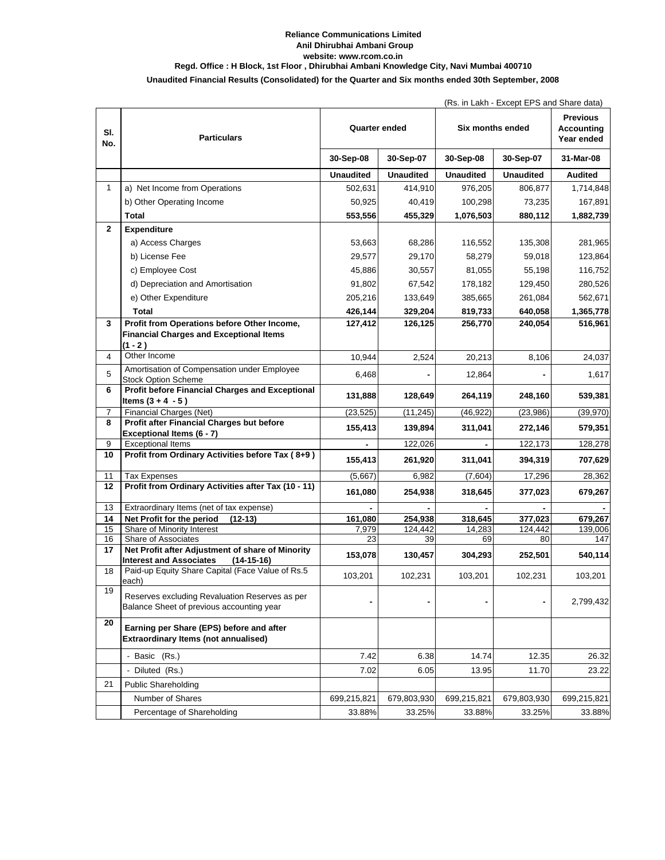## **Unaudited Financial Results (Consolidated) for the Quarter and Six months ended 30th September, 2008 Anil Dhirubhai Ambani Group Reliance Communications Limited website: www.rcom.co.in Regd. Office : H Block, 1st Floor , Dhirubhai Ambani Knowledge City, Navi Mumbai 400710**

| (Rs. in Lakh - Except EPS and Share data) |  |
|-------------------------------------------|--|
|-------------------------------------------|--|

|              |                                                                                                    |                  |                  |                  | (RS. III Lakii - Except EPS and Share data) |                                             |
|--------------|----------------------------------------------------------------------------------------------------|------------------|------------------|------------------|---------------------------------------------|---------------------------------------------|
| SI.<br>No.   | <b>Particulars</b>                                                                                 | Quarter ended    |                  | Six months ended |                                             | <b>Previous</b><br>Accounting<br>Year ended |
|              |                                                                                                    | 30-Sep-08        | 30-Sep-07        | 30-Sep-08        | 30-Sep-07                                   | 31-Mar-08                                   |
|              |                                                                                                    | <b>Unaudited</b> | <b>Unaudited</b> | <b>Unaudited</b> | <b>Unaudited</b>                            | <b>Audited</b>                              |
| $\mathbf{1}$ | a) Net Income from Operations                                                                      | 502,631          | 414,910          | 976,205          | 806,877                                     | 1,714,848                                   |
|              | b) Other Operating Income                                                                          | 50,925           | 40,419           | 100,298          | 73,235                                      | 167,891                                     |
|              | <b>Total</b>                                                                                       | 553,556          | 455,329          | 1,076,503        | 880,112                                     | 1,882,739                                   |
| $\mathbf{2}$ | <b>Expenditure</b>                                                                                 |                  |                  |                  |                                             |                                             |
|              | a) Access Charges                                                                                  | 53,663           | 68,286           | 116,552          | 135,308                                     | 281,965                                     |
|              | b) License Fee                                                                                     | 29,577           | 29,170           | 58,279           | 59,018                                      | 123,864                                     |
|              | c) Employee Cost                                                                                   | 45,886           | 30,557           | 81,055           | 55,198                                      | 116,752                                     |
|              | d) Depreciation and Amortisation                                                                   | 91,802           | 67,542           | 178,182          | 129,450                                     | 280,526                                     |
|              | e) Other Expenditure                                                                               | 205,216          | 133,649          | 385,665          | 261,084                                     | 562,671                                     |
|              | Total                                                                                              | 426,144          | 329,204          | 819,733          | 640,058                                     | 1,365,778                                   |
| 3            | Profit from Operations before Other Income,                                                        | 127,412          | 126,125          | 256,770          | 240,054                                     | 516,961                                     |
|              | <b>Financial Charges and Exceptional Items</b>                                                     |                  |                  |                  |                                             |                                             |
|              | (1 - 2 )                                                                                           |                  |                  |                  |                                             |                                             |
| 4            | Other Income                                                                                       | 10,944           | 2,524            | 20,213           | 8,106                                       | 24,037                                      |
| 5            | Amortisation of Compensation under Employee<br><b>Stock Option Scheme</b>                          | 6,468            |                  | 12,864           |                                             | 1,617                                       |
| 6            | Profit before Financial Charges and Exceptional<br>Items $(3 + 4 - 5)$                             | 131,888          | 128,649          | 264,119          | 248,160                                     | 539,381                                     |
| 7            | Financial Charges (Net)                                                                            | (23, 525)        | (11, 245)        | (46, 922)        | (23,986)                                    | (39, 970)                                   |
| 8            | Profit after Financial Charges but before<br>Exceptional Items (6 - 7)                             | 155,413          | 139,894          | 311,041          | 272,146                                     | 579,351                                     |
| 9            | <b>Exceptional Items</b>                                                                           |                  | 122,026          |                  | 122,173                                     | 128,278                                     |
| 10           | Profit from Ordinary Activities before Tax (8+9)                                                   | 155,413          | 261,920          | 311,041          | 394,319                                     | 707,629                                     |
| 11           | <b>Tax Expenses</b>                                                                                | (5,667)          | 6,982            | (7,604)          | 17,296                                      | 28,362                                      |
| 12           | Profit from Ordinary Activities after Tax (10 - 11)                                                | 161,080          | 254,938          | 318,645          | 377,023                                     | 679,267                                     |
| 13           | Extraordinary Items (net of tax expense)                                                           |                  |                  |                  |                                             |                                             |
| 14           | Net Profit for the period<br>$(12-13)$                                                             | 161,080          | 254,938          | 318,645          | 377,023                                     | 679,267                                     |
| 15<br>16     | Share of Minority Interest<br>Share of Associates                                                  | 7,979<br>23      | 124,442<br>39    | 14,283<br>69     | 124,442<br>80                               | 139,006<br>147                              |
| 17           | Net Profit after Adjustment of share of Minority<br><b>Interest and Associates</b><br>$(14-15-16)$ | 153,078          | 130,457          | 304,293          | 252,501                                     | 540,114                                     |
| 18           | Paid-up Equity Share Capital (Face Value of Rs.5<br>each)                                          | 103,201          | 102,231          | 103,201          | 102,231                                     | 103,201                                     |
| 19           | Reserves excluding Revaluation Reserves as per<br>Balance Sheet of previous accounting year        |                  | ٠                |                  |                                             | 2,799,432                                   |
| 20           | Earning per Share (EPS) before and after<br><b>Extraordinary Items (not annualised)</b>            |                  |                  |                  |                                             |                                             |
|              | - Basic (Rs.)                                                                                      | 7.42             | 6.38             | 14.74            | 12.35                                       | 26.32                                       |
|              | - Diluted (Rs.)                                                                                    | 7.02             | 6.05             | 13.95            | 11.70                                       | 23.22                                       |
| 21           | Public Shareholding                                                                                |                  |                  |                  |                                             |                                             |
|              | Number of Shares                                                                                   | 699,215,821      | 679,803,930      | 699,215,821      | 679,803,930                                 | 699,215,821                                 |
|              | Percentage of Shareholding                                                                         | 33.88%           | 33.25%           | 33.88%           | 33.25%                                      | 33.88%                                      |
|              |                                                                                                    |                  |                  |                  |                                             |                                             |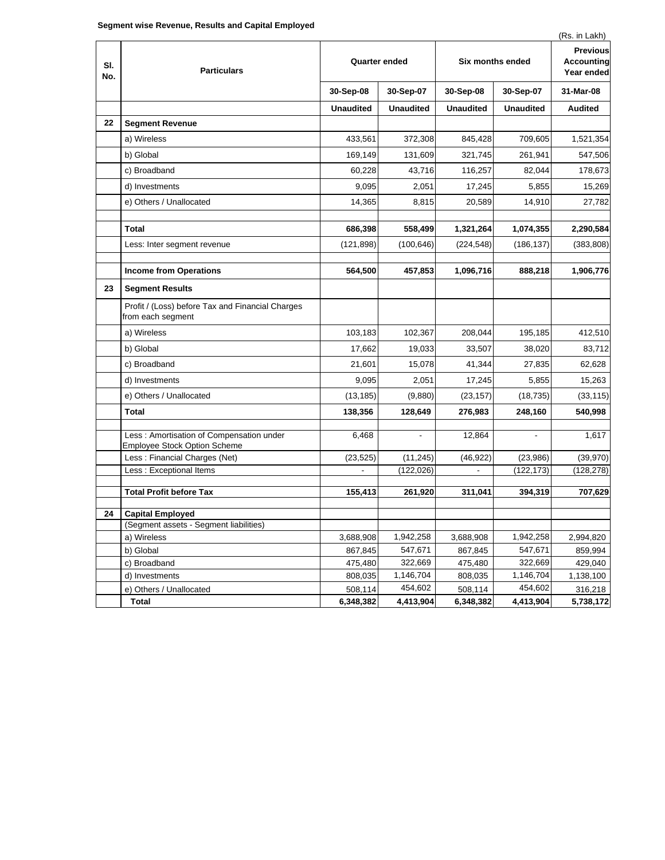| SI.<br>No. | <b>Particulars</b>                                                       | Quarter ended    |                  | Six months ended |                  | $(110.111 - 0.0111)$<br><b>Previous</b><br><b>Accounting</b><br>Year ended |
|------------|--------------------------------------------------------------------------|------------------|------------------|------------------|------------------|----------------------------------------------------------------------------|
|            |                                                                          | 30-Sep-08        | 30-Sep-07        | 30-Sep-08        | 30-Sep-07        | 31-Mar-08                                                                  |
|            |                                                                          | <b>Unaudited</b> | <b>Unaudited</b> | <b>Unaudited</b> | <b>Unaudited</b> | <b>Audited</b>                                                             |
| 22         | <b>Segment Revenue</b>                                                   |                  |                  |                  |                  |                                                                            |
|            | a) Wireless                                                              | 433,561          | 372,308          | 845,428          | 709,605          | 1,521,354                                                                  |
|            | b) Global                                                                | 169,149          | 131,609          | 321,745          | 261,941          | 547,506                                                                    |
|            | c) Broadband                                                             | 60,228           | 43,716           | 116,257          | 82,044           | 178,673                                                                    |
|            | d) Investments                                                           | 9,095            | 2,051            | 17,245           | 5,855            | 15,269                                                                     |
|            | e) Others / Unallocated                                                  | 14,365           | 8,815            | 20,589           | 14,910           | 27,782                                                                     |
|            |                                                                          |                  |                  |                  |                  |                                                                            |
|            | Total                                                                    | 686,398          | 558,499          | 1,321,264        | 1,074,355        | 2,290,584                                                                  |
|            | Less: Inter segment revenue                                              | (121, 898)       | (100, 646)       | (224, 548)       | (186, 137)       | (383, 808)                                                                 |
|            | <b>Income from Operations</b>                                            | 564,500          | 457,853          | 1,096,716        | 888,218          | 1,906,776                                                                  |
| 23         | <b>Segment Results</b>                                                   |                  |                  |                  |                  |                                                                            |
|            | Profit / (Loss) before Tax and Financial Charges<br>from each segment    |                  |                  |                  |                  |                                                                            |
|            | a) Wireless                                                              | 103,183          | 102,367          | 208,044          | 195,185          | 412,510                                                                    |
|            | b) Global                                                                | 17,662           | 19,033           | 33,507           | 38,020           | 83,712                                                                     |
|            | c) Broadband                                                             | 21,601           | 15,078           | 41,344           | 27,835           | 62,628                                                                     |
|            | d) Investments                                                           | 9,095            | 2,051            | 17,245           | 5,855            | 15,263                                                                     |
|            | e) Others / Unallocated                                                  | (13, 185)        | (9,880)          | (23, 157)        | (18, 735)        | (33, 115)                                                                  |
|            | <b>Total</b>                                                             | 138,356          | 128,649          | 276,983          | 248,160          | 540,998                                                                    |
|            | Less: Amortisation of Compensation under<br>Employee Stock Option Scheme | 6,468            |                  | 12,864           |                  | 1,617                                                                      |
|            | Less: Financial Charges (Net)                                            | (23, 525)        | (11, 245)        | (46, 922)        | (23,986)         | (39, 970)                                                                  |
|            | Less : Exceptional Items                                                 |                  | (122, 026)       |                  | (122, 173)       | (128, 278)                                                                 |
|            | <b>Total Profit before Tax</b>                                           | 155,413          | 261,920          | 311,041          | 394,319          | 707,629                                                                    |
|            |                                                                          |                  |                  |                  |                  |                                                                            |
| 24         | <b>Capital Employed</b><br>(Segment assets - Segment liabilities)        |                  |                  |                  |                  |                                                                            |
|            | a) Wireless                                                              | 3,688,908        | 1,942,258        | 3,688,908        | 1,942,258        | 2,994,820                                                                  |
|            | b) Global                                                                | 867,845          | 547,671          | 867,845          | 547,671          | 859,994                                                                    |
|            | c) Broadband                                                             | 475,480          | 322,669          | 475,480          | 322,669          | 429,040                                                                    |
|            | d) Investments                                                           | 808,035          | 1,146,704        | 808,035          | 1,146,704        | 1,138,100                                                                  |
|            | e) Others / Unallocated                                                  | 508,114          | 454,602          | 508,114          | 454,602          | 316,218                                                                    |
|            | Total                                                                    | 6,348,382        | 4,413,904        | 6,348,382        | 4,413,904        | 5,738,172                                                                  |